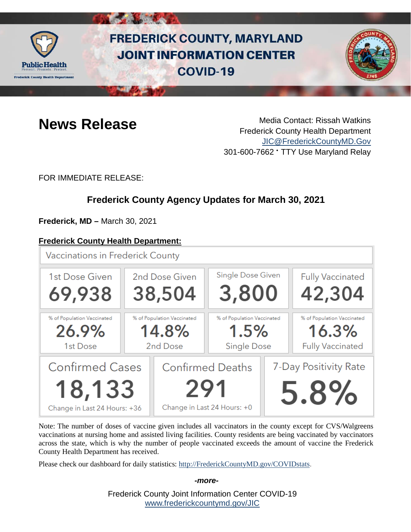

# **FREDERICK COUNTY, MARYLAND JOINT INFORMATION CENTER COVID-19**



**News Release** Media Contact: Rissah Watkins Frederick County Health Department [JIC@FrederickCountyMD.Gov](mailto:JIC@FrederickCountyMD.Gov) 301-600-7662 • TTY Use Maryland Relay

FOR IMMEDIATE RELEASE:

## **Frederick County Agency Updates for March 30, 2021**

**Frederick, MD –** March 30, 2021

18,133

Change in Last 24 Hours: +36

#### **Frederick County Health Department:**

**Vaccinations in Frederick County** Single Dose Given **Fully Vaccinated** 1st Dose Given 2nd Dose Given 3,800 69,938 38,504 42,304 % of Population Vaccinated % of Population Vaccinated % of Population Vaccinated % of Population Vaccinated  $1.5%$ 16.3% 26.9% 14.8% **Fully Vaccinated** 1st Dose 2nd Dose **Single Dose Confirmed Cases Confirmed Deaths** 7-Day Positivity Rate

5.8% Change in Last 24 Hours: +0

Note: The number of doses of vaccine given includes all vaccinators in the county except for CVS/Walgreens vaccinations at nursing home and assisted living facilities. County residents are being vaccinated by vaccinators across the state, which is why the number of people vaccinated exceeds the amount of vaccine the Frederick County Health Department has received.

Please check our dashboard for daily statistics: [http://FrederickCountyMD.gov/COVIDstats.](http://frederickcountymd.gov/COVIDstats)

*-more-*

Frederick County Joint Information Center COVID-19 [www.frederickcountymd.gov/JIC](https://frederickcountymd.gov/JIC)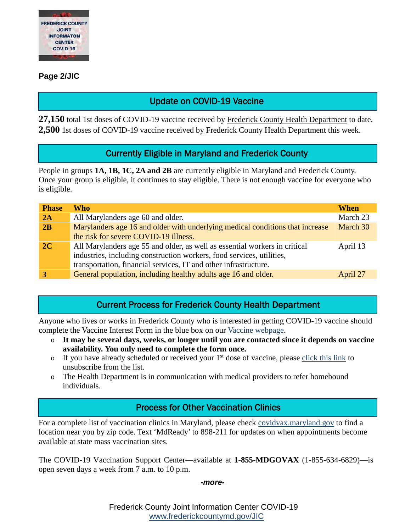

#### **Page 2/JIC**

### Update on COVID-19 Vaccine

**27,150** total 1st doses of COVID-19 vaccine received by Frederick County Health Department to date. **2,500** 1st doses of COVID-19 vaccine received by Frederick County Health Department this week.

#### Currently Eligible in Maryland and Frederick County

People in groups **1A, 1B, 1C, 2A and 2B** are currently eligible in Maryland and Frederick County. Once your group is eligible, it continues to stay eligible. There is not enough vaccine for everyone who is eligible.

| <b>Phase</b> | Who                                                                                                                                                                                                                     | <b>When</b> |
|--------------|-------------------------------------------------------------------------------------------------------------------------------------------------------------------------------------------------------------------------|-------------|
| 2A           | All Marylanders age 60 and older.                                                                                                                                                                                       | March 23    |
| 2B           | Marylanders age 16 and older with underlying medical conditions that increase                                                                                                                                           | March 30    |
|              | the risk for severe COVID-19 illness.                                                                                                                                                                                   |             |
| 2C           | All Marylanders age 55 and older, as well as essential workers in critical<br>industries, including construction workers, food services, utilities,<br>transportation, financial services, IT and other infrastructure. | April 13    |
|              | General population, including healthy adults age 16 and older.                                                                                                                                                          | April 27    |

#### Current Process for Frederick County Health Department

Anyone who lives or works in Frederick County who is interested in getting COVID-19 vaccine should complete the Vaccine Interest Form in the blue box on our [Vaccine webpage.](https://health.frederickcountymd.gov/629/COVID-19-Vaccine)

- o **It may be several days, weeks, or longer until you are contacted since it depends on vaccine availability. You only need to complete the form once.**
- $\circ$  If you have already scheduled or received your 1<sup>st</sup> dose of vaccine, please [click this link](https://ww3.frederickcountymd.gov/VaccineInterest/Forms/Withdraw) to unsubscribe from the list.
- o The Health Department is in communication with medical providers to refer homebound individuals.

### Process for Other Vaccination Clinics

For a complete list of vaccination clinics in Maryland, please check [covidvax.maryland.gov](https://covidvax.maryland.gov/) to find a location near you by zip code. Text 'MdReady' to 898-211 for updates on when appointments become available at state mass vaccination sites.

The COVID-19 Vaccination Support Center—available at **1-855-MDGOVAX** (1-855-634-6829)—is open seven days a week from 7 a.m. to 10 p.m.

*-more-*

Frederick County Joint Information Center COVID-19 [www.frederickcountymd.gov/JIC](https://frederickcountymd.gov/JIC)